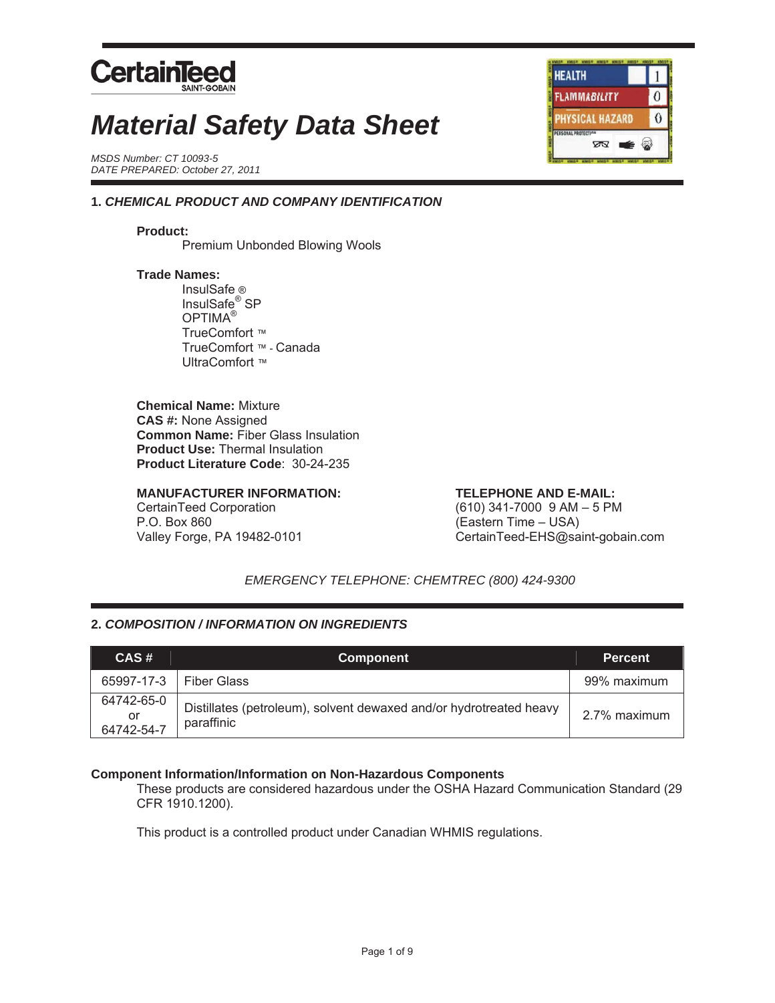

# *Material Safety Data Sheet*

*MSDS Number: CT 10093-5 DATE PREPARED: October 27, 2011* 

# **1.** *CHEMICAL PRODUCT AND COMPANY IDENTIFICATION*

# **Product:**

**Premium Unbonded Blowing Wools** 

# **Trade Names:**

 InsulSafe ® InsulSafe® SP OPTIMA® TrueComfort ™ TrueComfort ™ - Canada UltraComfort ™

**Chemical Name:** Mixture **CAS #:** None Assigned **Common Name:** Fiber Glass Insulation **Product Use:** Thermal Insulation **Product Literature Code**: 30-24-235

# **MANUFACTURER INFORMATION: TELEPHONE AND E-MAIL:**

CertainTeed Corporation (610) 341-7000 9 AM – 5 PM P.O. Box 860<br>Valley Forge, PA 19482-0101 (Eastern Time – USA)<br>CertainTeed-EHS@sa

# CertainTeed-EHS@saint-gobain.com

# *EMERGENCY TELEPHONE: CHEMTREC (800) 424-9300*

# **2.** *COMPOSITION / INFORMATION ON INGREDIENTS*

| CAS#                           | <b>Component</b>                                                                 | <b>Percent</b> |
|--------------------------------|----------------------------------------------------------------------------------|----------------|
| 65997-17-3                     | Fiber Glass                                                                      | 99% maximum    |
| 64742-65-0<br>or<br>64742-54-7 | Distillates (petroleum), solvent dewaxed and/or hydrotreated heavy<br>paraffinic | 2.7% maximum   |

# **Component Information/Information on Non-Hazardous Components**

These products are considered hazardous under the OSHA Hazard Communication Standard (29 CFR 1910.1200).

This product is a controlled product under Canadian WHMIS regulations.

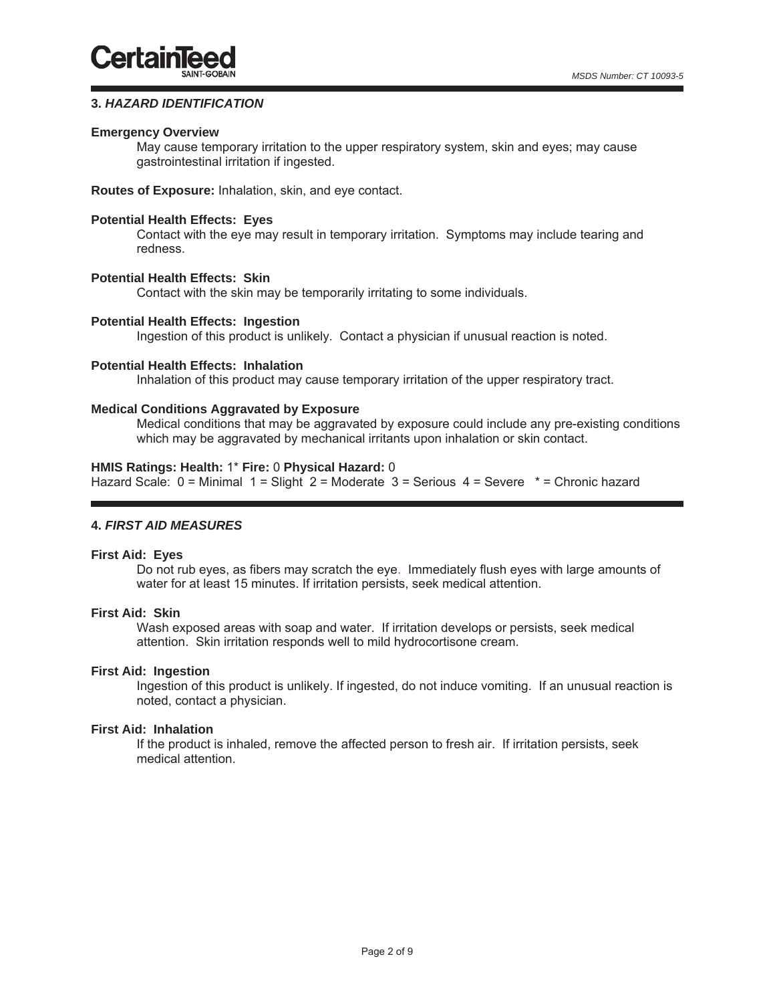# **3.** *HAZARD IDENTIFICATION*

#### **Emergency Overview**

May cause temporary irritation to the upper respiratory system, skin and eyes; may cause gastrointestinal irritation if ingested.

**Routes of Exposure:** Inhalation, skin, and eye contact.

#### **Potential Health Effects: Eyes**

Contact with the eye may result in temporary irritation. Symptoms may include tearing and redness.

# **Potential Health Effects: Skin**

Contact with the skin may be temporarily irritating to some individuals.

#### **Potential Health Effects: Ingestion**

Ingestion of this product is unlikely. Contact a physician if unusual reaction is noted.

# **Potential Health Effects: Inhalation**

Inhalation of this product may cause temporary irritation of the upper respiratory tract.

# **Medical Conditions Aggravated by Exposure**

Medical conditions that may be aggravated by exposure could include any pre-existing conditions which may be aggravated by mechanical irritants upon inhalation or skin contact.

#### **HMIS Ratings: Health:** 1\* **Fire:** 0 **Physical Hazard:** 0

Hazard Scale: 0 = Minimal 1 = Slight 2 = Moderate 3 = Serious 4 = Severe \* = Chronic hazard

# **4.** *FIRST AID MEASURES*

#### **First Aid: Eyes**

Do not rub eyes, as fibers may scratch the eye. Immediately flush eyes with large amounts of water for at least 15 minutes. If irritation persists, seek medical attention.

# **First Aid: Skin**

Wash exposed areas with soap and water. If irritation develops or persists, seek medical attention. Skin irritation responds well to mild hydrocortisone cream.

# **First Aid: Ingestion**

Ingestion of this product is unlikely. If ingested, do not induce vomiting. If an unusual reaction is noted, contact a physician.

#### **First Aid: Inhalation**

If the product is inhaled, remove the affected person to fresh air. If irritation persists, seek medical attention.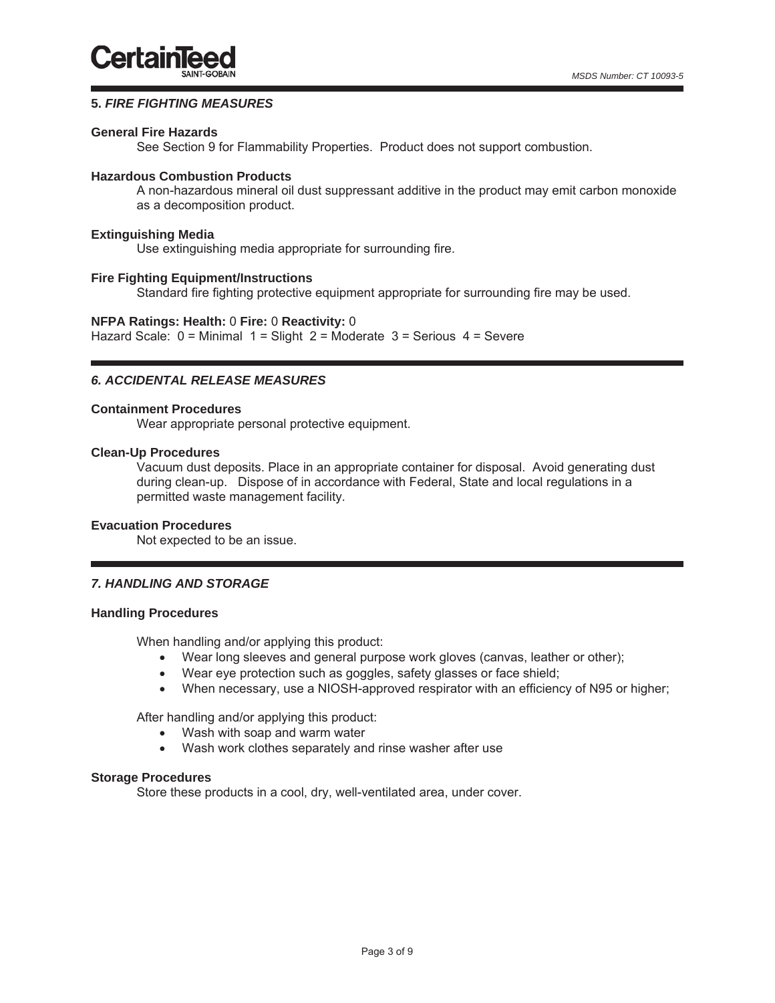# **5.** *FIRE FIGHTING MEASURES*

# **General Fire Hazards**

See Section 9 for Flammability Properties. Product does not support combustion.

# **Hazardous Combustion Products**

A non-hazardous mineral oil dust suppressant additive in the product may emit carbon monoxide as a decomposition product.

## **Extinguishing Media**

Use extinguishing media appropriate for surrounding fire.

# **Fire Fighting Equipment/Instructions**

Standard fire fighting protective equipment appropriate for surrounding fire may be used.

# **NFPA Ratings: Health:** 0 **Fire:** 0 **Reactivity:** 0

Hazard Scale: 0 = Minimal 1 = Slight 2 = Moderate 3 = Serious 4 = Severe

# *6. ACCIDENTAL RELEASE MEASURES*

#### **Containment Procedures**

Wear appropriate personal protective equipment.

#### **Clean-Up Procedures**

Vacuum dust deposits. Place in an appropriate container for disposal. Avoid generating dust during clean-up. Dispose of in accordance with Federal, State and local regulations in a permitted waste management facility.

#### **Evacuation Procedures**

Not expected to be an issue.

# *7. HANDLING AND STORAGE*

# **Handling Procedures**

When handling and/or applying this product:

- Wear long sleeves and general purpose work gloves (canvas, leather or other);
- Wear eye protection such as goggles, safety glasses or face shield;
- When necessary, use a NIOSH-approved respirator with an efficiency of N95 or higher;

After handling and/or applying this product:

- Wash with soap and warm water
- Wash work clothes separately and rinse washer after use

#### **Storage Procedures**

Store these products in a cool, dry, well-ventilated area, under cover.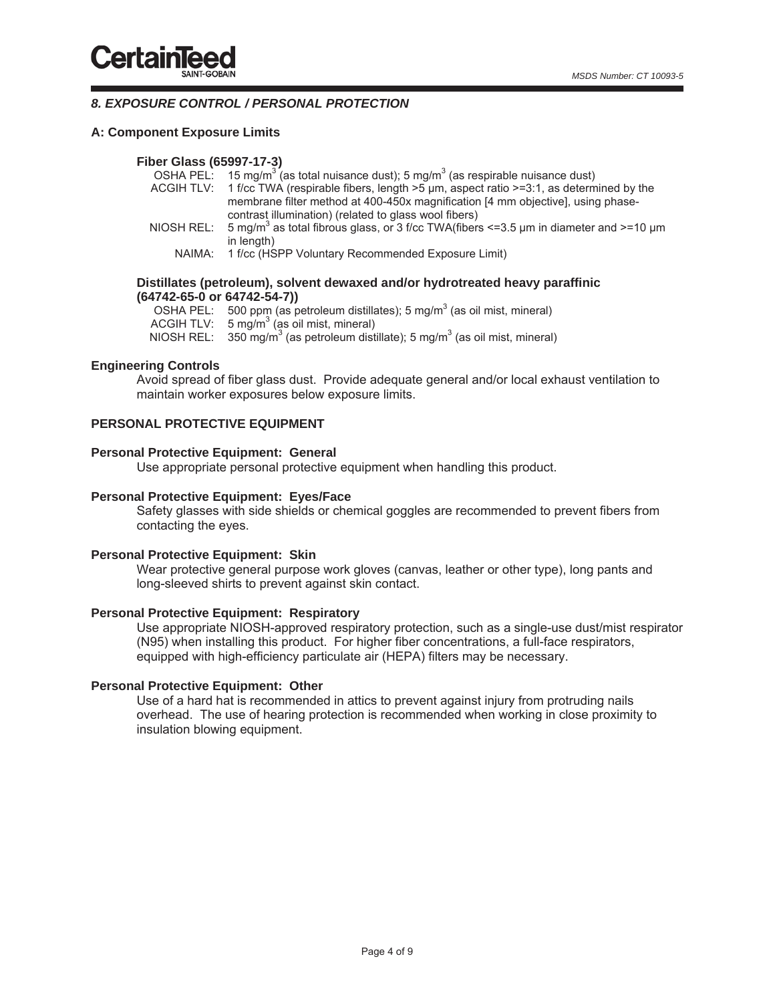# *8. EXPOSURE CONTROL / PERSONAL PROTECTION*

# **A: Component Exposure Limits**

# **Fiber Glass (65997-17-3)**

|            | OSHA PEL: 15 mg/m <sup>3</sup> (as total nuisance dust); 5 mg/m <sup>3</sup> (as respirable nuisance dust)  |
|------------|-------------------------------------------------------------------------------------------------------------|
| ACGIH TLV: | 1 f/cc TWA (respirable fibers, length $>5$ µm, aspect ratio $>=3:1$ , as determined by the                  |
|            | membrane filter method at 400-450x magnification [4 mm objective], using phase-                             |
|            | contrast illumination) (related to glass wool fibers)                                                       |
| NIOSH REL: | 5 mg/m <sup>3</sup> as total fibrous glass, or 3 f/cc TWA(fibers $\le$ =3.5 µm in diameter and $\ge$ =10 µm |
|            | in length)                                                                                                  |
|            | NAIMA: 1 f/cc (HSPP Voluntary Recommended Exposure Limit)                                                   |

# **Distillates (petroleum), solvent dewaxed and/or hydrotreated heavy paraffinic (64742-65-0 or 64742-54-7))**

| OSHA PEL: 500 ppm (as petroleum distillates); 5 mg/m <sup>3</sup> (as oil mist, mineral)              |
|-------------------------------------------------------------------------------------------------------|
| ACGIH TLV: $5 \text{ mg/m}^3$ (as oil mist, mineral)                                                  |
| NIOSH REL: $350 \text{ mg/m}^3$ (as petroleum distillate); 5 mg/m <sup>3</sup> (as oil mist, mineral) |

# **Engineering Controls**

Avoid spread of fiber glass dust. Provide adequate general and/or local exhaust ventilation to maintain worker exposures below exposure limits.

# **PERSONAL PROTECTIVE EQUIPMENT**

# **Personal Protective Equipment: General**

Use appropriate personal protective equipment when handling this product.

# **Personal Protective Equipment: Eyes/Face**

Safety glasses with side shields or chemical goggles are recommended to prevent fibers from contacting the eyes.

#### **Personal Protective Equipment: Skin**

Wear protective general purpose work gloves (canvas, leather or other type), long pants and long-sleeved shirts to prevent against skin contact.

# **Personal Protective Equipment: Respiratory**

Use appropriate NIOSH-approved respiratory protection, such as a single-use dust/mist respirator (N95) when installing this product. For higher fiber concentrations, a full-face respirators, equipped with high-efficiency particulate air (HEPA) filters may be necessary.

# **Personal Protective Equipment: Other**

Use of a hard hat is recommended in attics to prevent against injury from protruding nails overhead. The use of hearing protection is recommended when working in close proximity to insulation blowing equipment.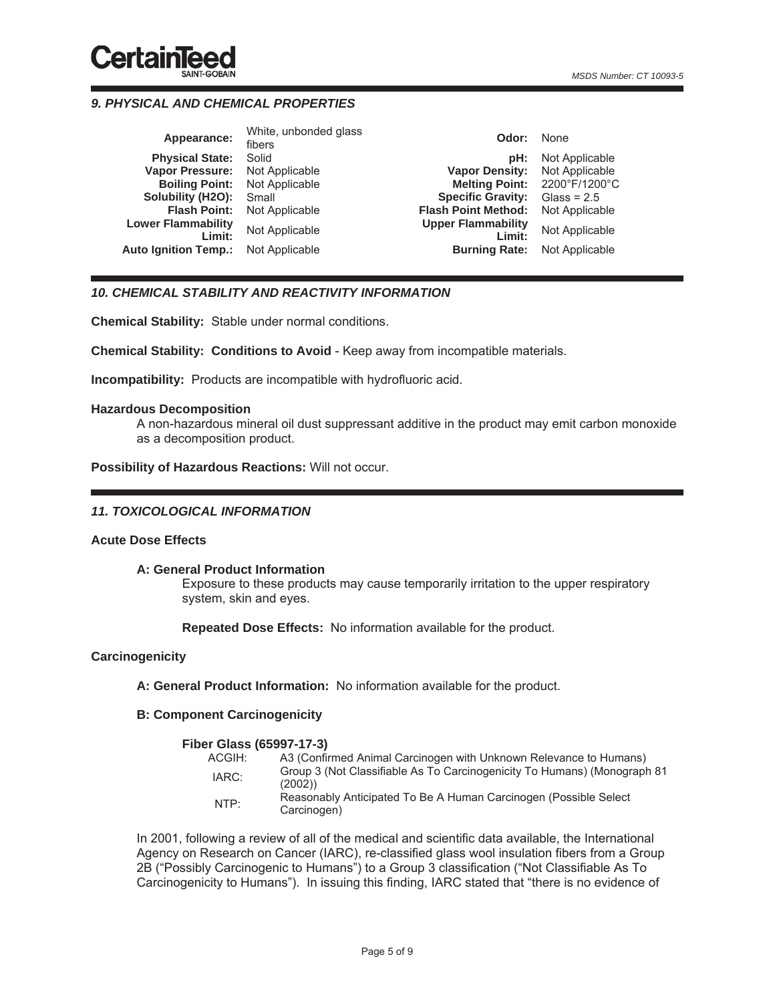# *9. PHYSICAL AND CHEMICAL PROPERTIES*

| Appearance:                         | White, unbonded glass<br>fibers | Odor:                               | <b>None</b>                  |
|-------------------------------------|---------------------------------|-------------------------------------|------------------------------|
| <b>Physical State:</b>              | Solid                           | :bH                                 | Not Applicable               |
| <b>Vapor Pressure:</b>              | Not Applicable                  | <b>Vapor Density:</b>               | Not Applicable               |
| <b>Boiling Point:</b>               | Not Applicable                  |                                     | Melting Point: 2200°F/1200°C |
| Solubility (H2O):                   | Small                           | <b>Specific Gravity:</b>            | Glass = $2.5$                |
| <b>Flash Point:</b>                 | Not Applicable                  | <b>Flash Point Method:</b>          | Not Applicable               |
| <b>Lower Flammability</b><br>Limit: | Not Applicable                  | <b>Upper Flammability</b><br>Limit: | Not Applicable               |
| <b>Auto Ignition Temp.:</b>         | Not Applicable                  | <b>Burning Rate:</b>                | Not Applicable               |
|                                     |                                 |                                     |                              |

# *10. CHEMICAL STABILITY AND REACTIVITY INFORMATION*

**Chemical Stability:** Stable under normal conditions.

**Chemical Stability: Conditions to Avoid** - Keep away from incompatible materials.

**Incompatibility:** Products are incompatible with hydrofluoric acid.

#### **Hazardous Decomposition**

A non-hazardous mineral oil dust suppressant additive in the product may emit carbon monoxide as a decomposition product.

**Possibility of Hazardous Reactions:** Will not occur.

# *11. TOXICOLOGICAL INFORMATION*

#### **Acute Dose Effects**

#### **A: General Product Information**

Exposure to these products may cause temporarily irritation to the upper respiratory system, skin and eyes.

**Repeated Dose Effects:** No information available for the product.

# **Carcinogenicity**

**A: General Product Information:** No information available for the product.

#### **B: Component Carcinogenicity**

#### **Fiber Glass (65997-17-3)**

| ACGIH: | A3 (Confirmed Animal Carcinogen with Unknown Relevance to Humans)                  |
|--------|------------------------------------------------------------------------------------|
| IARC:  | Group 3 (Not Classifiable As To Carcinogenicity To Humans) (Monograph 81<br>(2002) |
| NTP:   | Reasonably Anticipated To Be A Human Carcinogen (Possible Select)<br>Carcinogen)   |

In 2001, following a review of all of the medical and scientific data available, the International Agency on Research on Cancer (IARC), re-classified glass wool insulation fibers from a Group 2B ("Possibly Carcinogenic to Humans") to a Group 3 classification ("Not Classifiable As To Carcinogenicity to Humans"). In issuing this finding, IARC stated that "there is no evidence of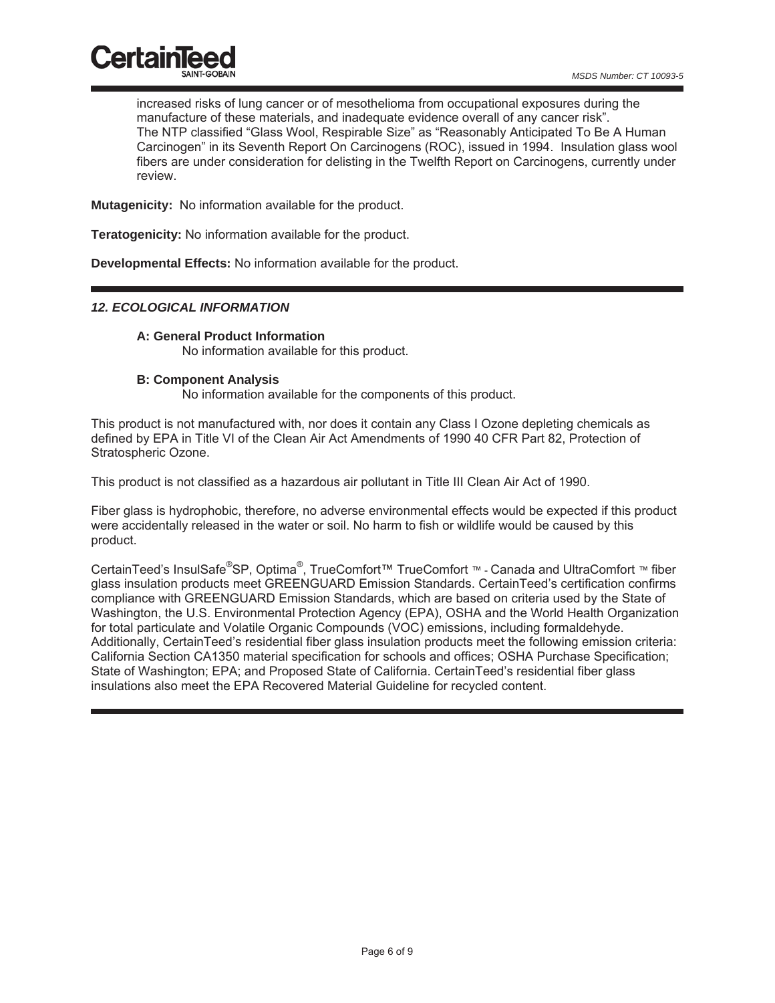increased risks of lung cancer or of mesothelioma from occupational exposures during the manufacture of these materials, and inadequate evidence overall of any cancer risk". The NTP classified "Glass Wool, Respirable Size" as "Reasonably Anticipated To Be A Human Carcinogen" in its Seventh Report On Carcinogens (ROC), issued in 1994. Insulation glass wool fibers are under consideration for delisting in the Twelfth Report on Carcinogens, currently under review.

**Mutagenicity:** No information available for the product.

**Teratogenicity:** No information available for the product.

**Developmental Effects:** No information available for the product.

# *12. ECOLOGICAL INFORMATION*

CertainTe

#### **A: General Product Information**

No information available for this product.

# **B: Component Analysis**

No information available for the components of this product.

This product is not manufactured with, nor does it contain any Class I Ozone depleting chemicals as defined by EPA in Title VI of the Clean Air Act Amendments of 1990 40 CFR Part 82, Protection of Stratospheric Ozone.

This product is not classified as a hazardous air pollutant in Title III Clean Air Act of 1990.

Fiber glass is hydrophobic, therefore, no adverse environmental effects would be expected if this product were accidentally released in the water or soil. No harm to fish or wildlife would be caused by this product.

CertainTeed's InsulSafe<sup>®</sup>SP, Optima<sup>®</sup>, TrueComfort™ TrueComfort ™ - Canada and UltraComfort ™ fiber glass insulation products meet GREENGUARD Emission Standards. CertainTeed's certification confirms compliance with GREENGUARD Emission Standards, which are based on criteria used by the State of Washington, the U.S. Environmental Protection Agency (EPA), OSHA and the World Health Organization for total particulate and Volatile Organic Compounds (VOC) emissions, including formaldehyde. Additionally, CertainTeed's residential fiber glass insulation products meet the following emission criteria: California Section CA1350 material specification for schools and offices; OSHA Purchase Specification; State of Washington; EPA; and Proposed State of California. CertainTeed's residential fiber glass insulations also meet the EPA Recovered Material Guideline for recycled content.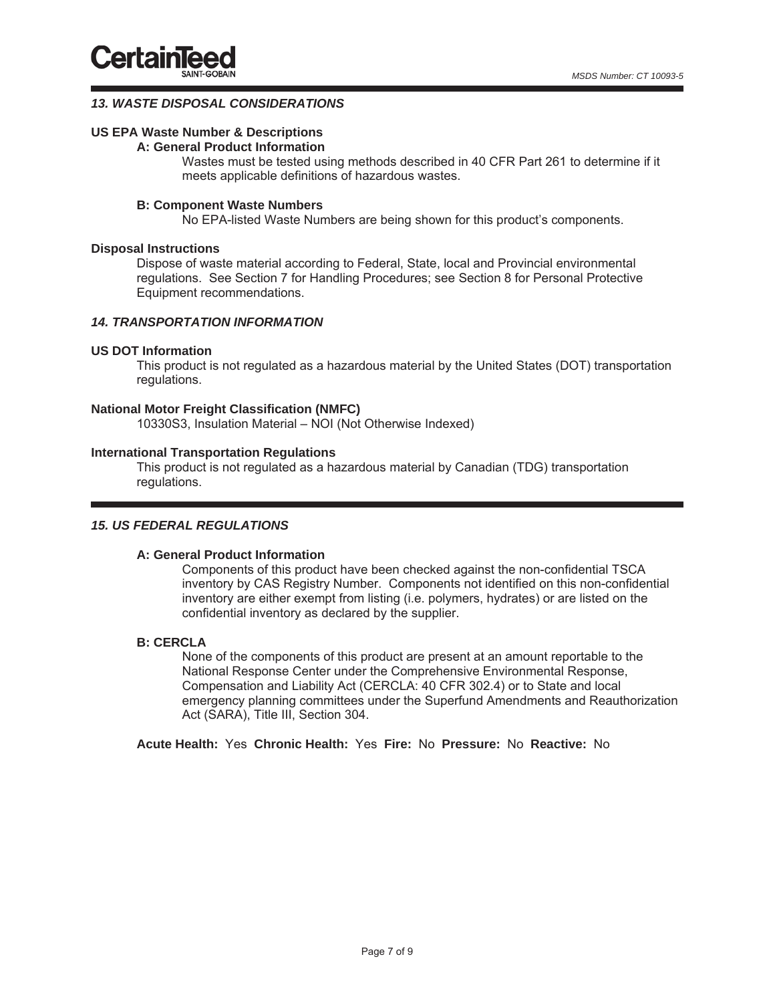# *13. WASTE DISPOSAL CONSIDERATIONS*

# **US EPA Waste Number & Descriptions**

#### **A: General Product Information**

Wastes must be tested using methods described in 40 CFR Part 261 to determine if it meets applicable definitions of hazardous wastes.

#### **B: Component Waste Numbers**

No EPA-listed Waste Numbers are being shown for this product's components.

## **Disposal Instructions**

Dispose of waste material according to Federal, State, local and Provincial environmental regulations. See Section 7 for Handling Procedures; see Section 8 for Personal Protective Equipment recommendations.

# *14. TRANSPORTATION INFORMATION*

#### **US DOT Information**

This product is not regulated as a hazardous material by the United States (DOT) transportation regulations.

# **National Motor Freight Classification (NMFC)**

10330S3, Insulation Material – NOI (Not Otherwise Indexed)

#### **International Transportation Regulations**

This product is not regulated as a hazardous material by Canadian (TDG) transportation regulations.

# *15. US FEDERAL REGULATIONS*

#### **A: General Product Information**

Components of this product have been checked against the non-confidential TSCA inventory by CAS Registry Number. Components not identified on this non-confidential inventory are either exempt from listing (i.e. polymers, hydrates) or are listed on the confidential inventory as declared by the supplier.

#### **B: CERCLA**

None of the components of this product are present at an amount reportable to the National Response Center under the Comprehensive Environmental Response, Compensation and Liability Act (CERCLA: 40 CFR 302.4) or to State and local emergency planning committees under the Superfund Amendments and Reauthorization Act (SARA), Title III, Section 304.

**Acute Health:** Yes **Chronic Health:** Yes **Fire:** No **Pressure:** No **Reactive:** No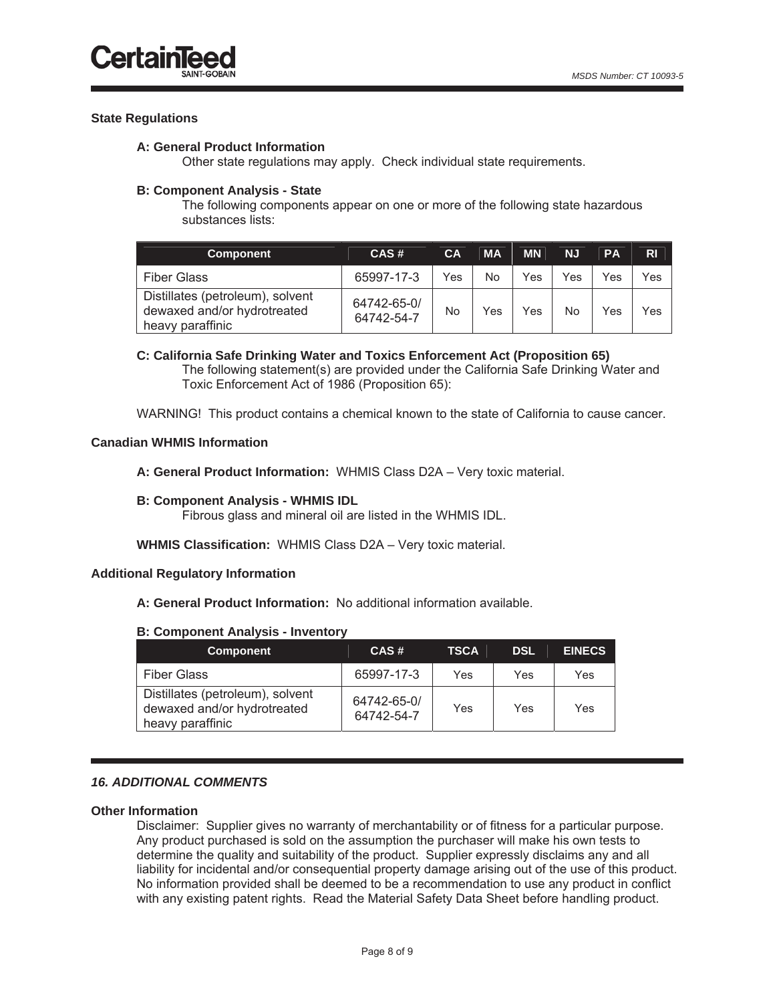# **State Regulations**

## **A: General Product Information**

Other state regulations may apply. Check individual state requirements.

## **B: Component Analysis - State**

The following components appear on one or more of the following state hazardous substances lists:

| <b>Component</b>                                                                    | CAS#                      | CA  | <b>MA</b> | <b>MN</b>  | NJ  | <b>PA</b> | <b>RI</b> |
|-------------------------------------------------------------------------------------|---------------------------|-----|-----------|------------|-----|-----------|-----------|
| <b>Fiber Glass</b>                                                                  | 65997-17-3                | Yes | <b>No</b> | Yes        | Yes | Yes       | Yes       |
| Distillates (petroleum), solvent<br>dewaxed and/or hydrotreated<br>heavy paraffinic | 64742-65-0/<br>64742-54-7 | No  | Yes       | <b>Yes</b> | No  | Yes       | Yes       |

# **C: California Safe Drinking Water and Toxics Enforcement Act (Proposition 65)**  The following statement(s) are provided under the California Safe Drinking Water and

Toxic Enforcement Act of 1986 (Proposition 65):

WARNING! This product contains a chemical known to the state of California to cause cancer.

# **Canadian WHMIS Information**

**A: General Product Information:** WHMIS Class D2A – Very toxic material.

# **B: Component Analysis - WHMIS IDL**

Fibrous glass and mineral oil are listed in the WHMIS IDL.

**WHMIS Classification:** WHMIS Class D2A – Very toxic material.

# **Additional Regulatory Information**

**A: General Product Information:** No additional information available.

#### **B: Component Analysis - Inventory**

| <b>Component</b>                                                                    | CAS#                      | <b>TSCA</b> | <b>DSL</b> | <b>EINECS</b> |
|-------------------------------------------------------------------------------------|---------------------------|-------------|------------|---------------|
| <b>Fiber Glass</b>                                                                  | 65997-17-3                | Yes         | Yes        | Yes           |
| Distillates (petroleum), solvent<br>dewaxed and/or hydrotreated<br>heavy paraffinic | 64742-65-0/<br>64742-54-7 | Yes         | Yes        | Yes           |

# *16. ADDITIONAL COMMENTS*

# **Other Information**

Disclaimer: Supplier gives no warranty of merchantability or of fitness for a particular purpose. Any product purchased is sold on the assumption the purchaser will make his own tests to determine the quality and suitability of the product. Supplier expressly disclaims any and all liability for incidental and/or consequential property damage arising out of the use of this product. No information provided shall be deemed to be a recommendation to use any product in conflict with any existing patent rights. Read the Material Safety Data Sheet before handling product.